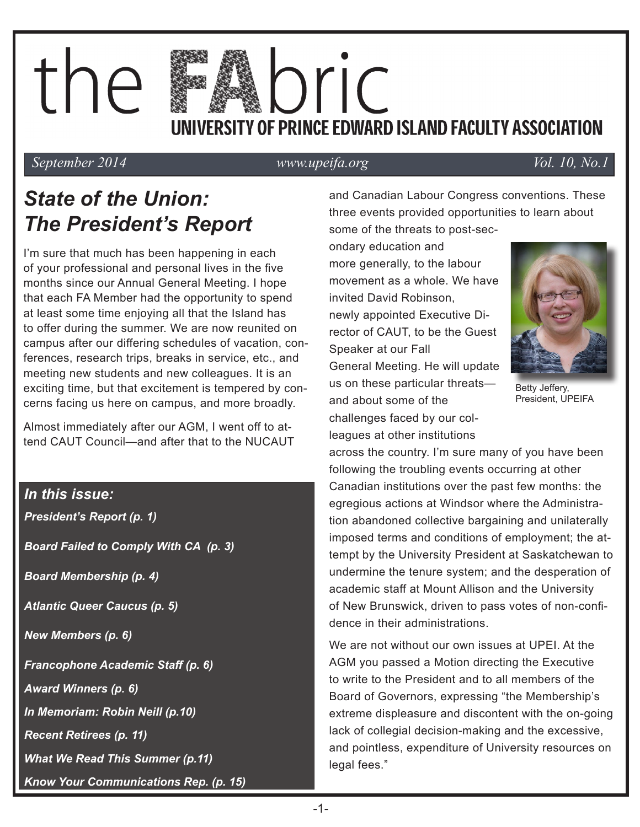# the IDLIC UNIVERSITY OF PRINCE EDWARD ISLAND FACULTY ASSOCIATION

*September 2014* www.upeifa.org Vol. 10, No.1

# *State of the Union: The President's Report*

I'm sure that much has been happening in each of your professional and personal lives in the five months since our Annual General Meeting. I hope that each FA Member had the opportunity to spend at least some time enjoying all that the Island has to offer during the summer. We are now reunited on campus after our differing schedules of vacation, conferences, research trips, breaks in service, etc., and meeting new students and new colleagues. It is an exciting time, but that excitement is tempered by concerns facing us here on campus, and more broadly.

Almost immediately after our AGM, I went off to attend CAUT Council—and after that to the NUCAUT

### *In this issue:*

*President's Report (p. 1)* 

*Board Failed to Comply With CA (p. 3)* 

*Board Membership (p. 4)* 

*Atlantic Queer Caucus (p. 5)* 

*New Members (p. 6)* 

*Francophone Academic Staff (p. 6)*

*Award Winners (p. 6)*

*In Memoriam: Robin Neill (p.10)*

*Recent Retirees (p. 11)*

*What We Read This Summer (p.11)*

*Know Your Communications Rep. (p. 15)*

and Canadian Labour Congress conventions. These three events provided opportunities to learn about some of the threats to post-sec-

ondary education and more generally, to the labour movement as a whole. We have invited David Robinson, newly appointed Executive Director of CAUT, to be the Guest Speaker at our Fall General Meeting. He will update us on these particular threats and about some of the challenges faced by our colleagues at other institutions



Betty Jeffery, President, UPEIFA

across the country. I'm sure many of you have been following the troubling events occurring at other Canadian institutions over the past few months: the egregious actions at Windsor where the Administration abandoned collective bargaining and unilaterally imposed terms and conditions of employment; the attempt by the University President at Saskatchewan to undermine the tenure system; and the desperation of academic staff at Mount Allison and the University of New Brunswick, driven to pass votes of non-confidence in their administrations.

We are not without our own issues at UPEI. At the AGM you passed a Motion directing the Executive to write to the President and to all members of the Board of Governors, expressing "the Membership's extreme displeasure and discontent with the on-going lack of collegial decision-making and the excessive, and pointless, expenditure of University resources on legal fees."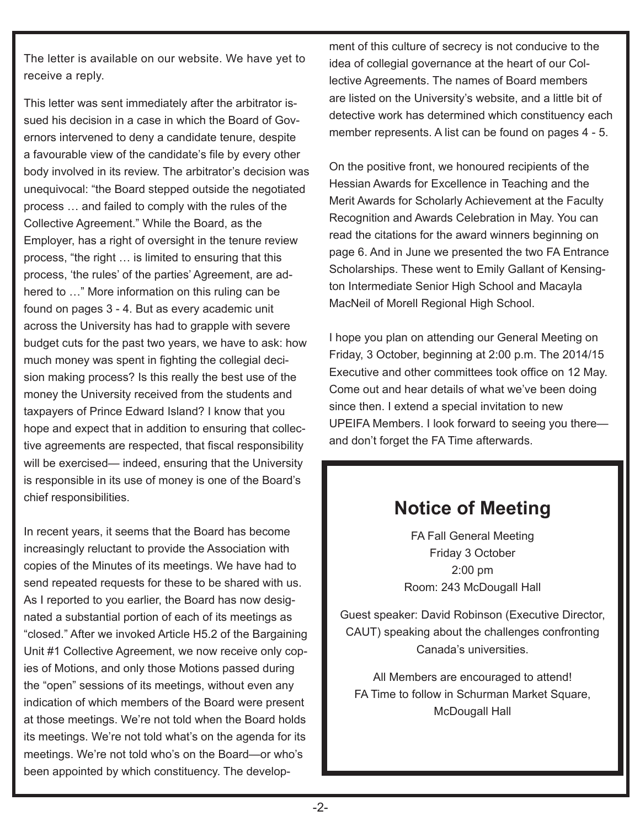The letter is available on our website. We have yet to receive a reply.

This letter was sent immediately after the arbitrator issued his decision in a case in which the Board of Governors intervened to deny a candidate tenure, despite a favourable view of the candidate's file by every other body involved in its review. The arbitrator's decision was unequivocal: "the Board stepped outside the negotiated process … and failed to comply with the rules of the Collective Agreement." While the Board, as the Employer, has a right of oversight in the tenure review process, "the right … is limited to ensuring that this process, 'the rules' of the parties' Agreement, are adhered to …" More information on this ruling can be found on pages 3 - 4. But as every academic unit across the University has had to grapple with severe budget cuts for the past two years, we have to ask: how much money was spent in fighting the collegial decision making process? Is this really the best use of the money the University received from the students and taxpayers of Prince Edward Island? I know that you hope and expect that in addition to ensuring that collective agreements are respected, that fiscal responsibility will be exercised— indeed, ensuring that the University is responsible in its use of money is one of the Board's chief responsibilities.

In recent years, it seems that the Board has become increasingly reluctant to provide the Association with copies of the Minutes of its meetings. We have had to send repeated requests for these to be shared with us. As I reported to you earlier, the Board has now designated a substantial portion of each of its meetings as "closed." After we invoked Article H5.2 of the Bargaining Unit #1 Collective Agreement, we now receive only copies of Motions, and only those Motions passed during the "open" sessions of its meetings, without even any indication of which members of the Board were present at those meetings. We're not told when the Board holds its meetings. We're not told what's on the agenda for its meetings. We're not told who's on the Board—or who's been appointed by which constituency. The development of this culture of secrecy is not conducive to the idea of collegial governance at the heart of our Collective Agreements. The names of Board members are listed on the University's website, and a little bit of detective work has determined which constituency each member represents. A list can be found on pages 4 - 5.

On the positive front, we honoured recipients of the Hessian Awards for Excellence in Teaching and the Merit Awards for Scholarly Achievement at the Faculty Recognition and Awards Celebration in May. You can read the citations for the award winners beginning on page 6. And in June we presented the two FA Entrance Scholarships. These went to Emily Gallant of Kensington Intermediate Senior High School and Macayla MacNeil of Morell Regional High School.

I hope you plan on attending our General Meeting on Friday, 3 October, beginning at 2:00 p.m. The 2014/15 Executive and other committees took office on 12 May. Come out and hear details of what we've been doing since then. I extend a special invitation to new UPEIFA Members. I look forward to seeing you there and don't forget the FA Time afterwards.

### **Notice of Meeting**

FA Fall General Meeting Friday 3 October 2:00 pm Room: 243 McDougall Hall

Guest speaker: David Robinson (Executive Director, CAUT) speaking about the challenges confronting Canada's universities.

All Members are encouraged to attend! FA Time to follow in Schurman Market Square, McDougall Hall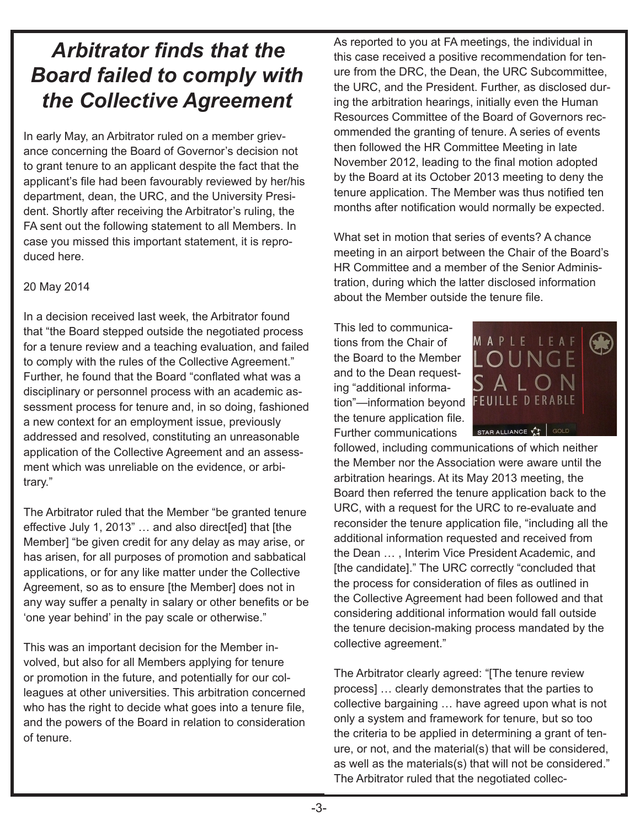# *Arbitrator finds that the Board failed to comply with the Collective Agreement*

In early May, an Arbitrator ruled on a member grievance concerning the Board of Governor's decision not to grant tenure to an applicant despite the fact that the applicant's file had been favourably reviewed by her/his department, dean, the URC, and the University President. Shortly after receiving the Arbitrator's ruling, the FA sent out the following statement to all Members. In case you missed this important statement, it is reproduced here.

#### 20 May 2014

In a decision received last week, the Arbitrator found that "the Board stepped outside the negotiated process for a tenure review and a teaching evaluation, and failed to comply with the rules of the Collective Agreement." Further, he found that the Board "conflated what was a disciplinary or personnel process with an academic assessment process for tenure and, in so doing, fashioned a new context for an employment issue, previously addressed and resolved, constituting an unreasonable application of the Collective Agreement and an assessment which was unreliable on the evidence, or arbitrary."

The Arbitrator ruled that the Member "be granted tenure effective July 1, 2013" … and also direct[ed] that [the Member] "be given credit for any delay as may arise, or has arisen, for all purposes of promotion and sabbatical applications, or for any like matter under the Collective Agreement, so as to ensure [the Member] does not in any way suffer a penalty in salary or other benefits or be 'one year behind' in the pay scale or otherwise."

This was an important decision for the Member involved, but also for all Members applying for tenure or promotion in the future, and potentially for our colleagues at other universities. This arbitration concerned who has the right to decide what goes into a tenure file, and the powers of the Board in relation to consideration of tenure.

As reported to you at FA meetings, the individual in this case received a positive recommendation for tenure from the DRC, the Dean, the URC Subcommittee, the URC, and the President. Further, as disclosed during the arbitration hearings, initially even the Human Resources Committee of the Board of Governors recommended the granting of tenure. A series of events then followed the HR Committee Meeting in late November 2012, leading to the final motion adopted by the Board at its October 2013 meeting to deny the tenure application. The Member was thus notified ten months after notification would normally be expected.

What set in motion that series of events? A chance meeting in an airport between the Chair of the Board's HR Committee and a member of the Senior Administration, during which the latter disclosed information about the Member outside the tenure file.

This led to communications from the Chair of the Board to the Member and to the Dean requesting "additional information"—information beyond the tenure application file. Further communications



followed, including communications of which neither the Member nor the Association were aware until the arbitration hearings. At its May 2013 meeting, the Board then referred the tenure application back to the URC, with a request for the URC to re-evaluate and reconsider the tenure application file, "including all the additional information requested and received from the Dean … , Interim Vice President Academic, and [the candidate]." The URC correctly "concluded that the process for consideration of files as outlined in the Collective Agreement had been followed and that considering additional information would fall outside the tenure decision-making process mandated by the collective agreement."

The Arbitrator clearly agreed: "[The tenure review process] … clearly demonstrates that the parties to collective bargaining … have agreed upon what is not only a system and framework for tenure, but so too the criteria to be applied in determining a grant of tenure, or not, and the material(s) that will be considered, as well as the materials(s) that will not be considered." The Arbitrator ruled that the negotiated collec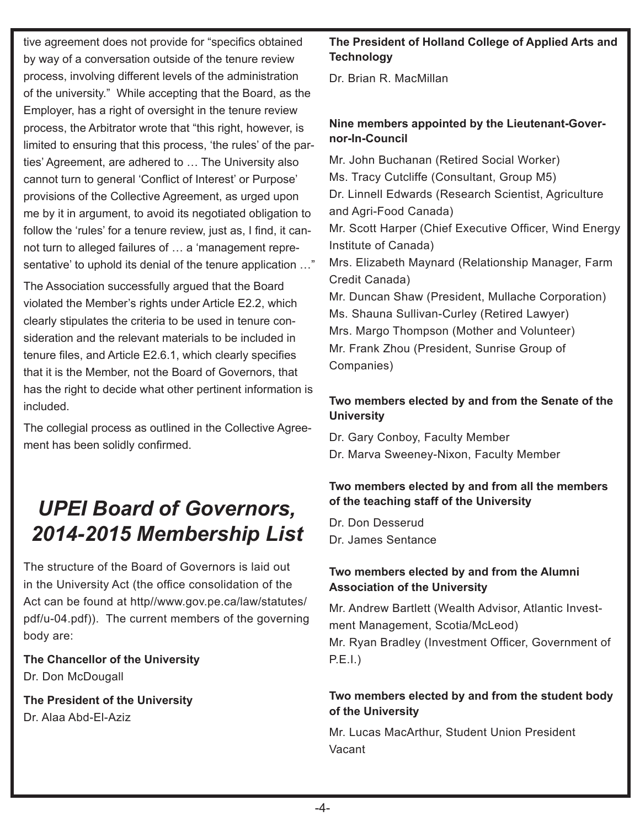tive agreement does not provide for "specifics obtained by way of a conversation outside of the tenure review process, involving different levels of the administration of the university." While accepting that the Board, as the Employer, has a right of oversight in the tenure review process, the Arbitrator wrote that "this right, however, is limited to ensuring that this process, 'the rules' of the parties' Agreement, are adhered to … The University also cannot turn to general 'Conflict of Interest' or Purpose' provisions of the Collective Agreement, as urged upon me by it in argument, to avoid its negotiated obligation to follow the 'rules' for a tenure review, just as, I find, it cannot turn to alleged failures of … a 'management representative' to uphold its denial of the tenure application …"

The Association successfully argued that the Board violated the Member's rights under Article E2.2, which clearly stipulates the criteria to be used in tenure consideration and the relevant materials to be included in tenure files, and Article E2.6.1, which clearly specifies that it is the Member, not the Board of Governors, that has the right to decide what other pertinent information is included.

The collegial process as outlined in the Collective Agreement has been solidly confirmed.

# *UPEI Board of Governors, 2014-2015 Membership List*

The structure of the Board of Governors is laid out in the University Act (the office consolidation of the Act can be found at http//www.gov.pe.ca/law/statutes/ pdf/u-04.pdf)). The current members of the governing body are:

**The Chancellor of the University** Dr. Don McDougall

**The President of the University** Dr. Alaa Abd-El-Aziz

### **The President of Holland College of Applied Arts and Technology**

Dr. Brian R. MacMillan

### **Nine members appointed by the Lieutenant-Governor-In-Council**

Mr. John Buchanan (Retired Social Worker) Ms. Tracy Cutcliffe (Consultant, Group M5) Dr. Linnell Edwards (Research Scientist, Agriculture and Agri-Food Canada) Mr. Scott Harper (Chief Executive Officer, Wind Energy Institute of Canada) Mrs. Elizabeth Maynard (Relationship Manager, Farm Credit Canada) Mr. Duncan Shaw (President, Mullache Corporation) Ms. Shauna Sullivan-Curley (Retired Lawyer) Mrs. Margo Thompson (Mother and Volunteer) Mr. Frank Zhou (President, Sunrise Group of Companies)

### **Two members elected by and from the Senate of the University**

Dr. Gary Conboy, Faculty Member Dr. Marva Sweeney-Nixon, Faculty Member

### **Two members elected by and from all the members of the teaching staff of the University**

Dr. Don Desserud Dr. James Sentance

### **Two members elected by and from the Alumni Association of the University**

Mr. Andrew Bartlett (Wealth Advisor, Atlantic Investment Management, Scotia/McLeod) Mr. Ryan Bradley (Investment Officer, Government of P.E.I.)

### **Two members elected by and from the student body of the University**

Mr. Lucas MacArthur, Student Union President Vacant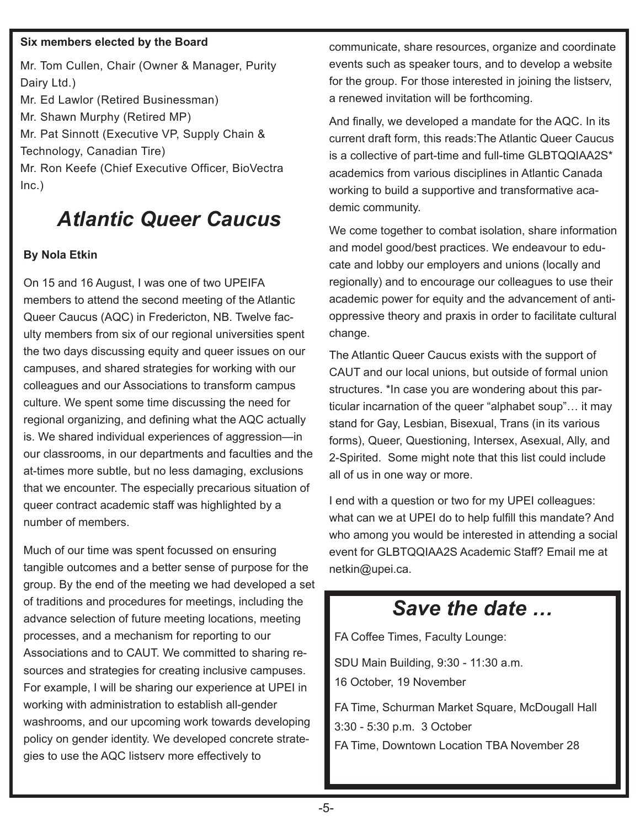#### **Six members elected by the Board**

Mr. Tom Cullen, Chair (Owner & Manager, Purity Dairy Ltd.) Mr. Ed Lawlor (Retired Businessman) Mr. Shawn Murphy (Retired MP) Mr. Pat Sinnott (Executive VP, Supply Chain & Technology, Canadian Tire) Mr. Ron Keefe (Chief Executive Officer, BioVectra  $Inc.)$ 

# *Atlantic Queer Caucus*

#### **By Nola Etkin**

On 15 and 16 August, I was one of two UPEIFA members to attend the second meeting of the Atlantic Queer Caucus (AQC) in Fredericton, NB. Twelve faculty members from six of our regional universities spent the two days discussing equity and queer issues on our campuses, and shared strategies for working with our colleagues and our Associations to transform campus culture. We spent some time discussing the need for regional organizing, and defining what the AQC actually is. We shared individual experiences of aggression—in our classrooms, in our departments and faculties and the at-times more subtle, but no less damaging, exclusions that we encounter. The especially precarious situation of queer contract academic staff was highlighted by a number of members.

Much of our time was spent focussed on ensuring tangible outcomes and a better sense of purpose for the group. By the end of the meeting we had developed a set of traditions and procedures for meetings, including the advance selection of future meeting locations, meeting processes, and a mechanism for reporting to our Associations and to CAUT. We committed to sharing resources and strategies for creating inclusive campuses. For example, I will be sharing our experience at UPEI in working with administration to establish all-gender washrooms, and our upcoming work towards developing policy on gender identity. We developed concrete strategies to use the AQC listserv more effectively to

communicate, share resources, organize and coordinate events such as speaker tours, and to develop a website for the group. For those interested in joining the listserv, a renewed invitation will be forthcoming.

And finally, we developed a mandate for the AQC. In its current draft form, this reads:The Atlantic Queer Caucus is a collective of part-time and full-time GLBTQQIAA2S\* academics from various disciplines in Atlantic Canada working to build a supportive and transformative academic community.

We come together to combat isolation, share information and model good/best practices. We endeavour to educate and lobby our employers and unions (locally and regionally) and to encourage our colleagues to use their academic power for equity and the advancement of antioppressive theory and praxis in order to facilitate cultural change.

The Atlantic Queer Caucus exists with the support of CAUT and our local unions, but outside of formal union structures. \*In case you are wondering about this particular incarnation of the queer "alphabet soup"… it may stand for Gay, Lesbian, Bisexual, Trans (in its various forms), Queer, Questioning, Intersex, Asexual, Ally, and 2-Spirited. Some might note that this list could include all of us in one way or more.

I end with a question or two for my UPEI colleagues: what can we at UPEI do to help fulfill this mandate? And who among you would be interested in attending a social event for GLBTQQIAA2S Academic Staff? Email me at netkin@upei.ca.

### *Save the date …*

FA Coffee Times, Faculty Lounge:

SDU Main Building, 9:30 - 11:30 a.m.

16 October, 19 November

FA Time, Schurman Market Square, McDougall Hall 3:30 - 5:30 p.m. 3 October FA Time, Downtown Location TBA November 28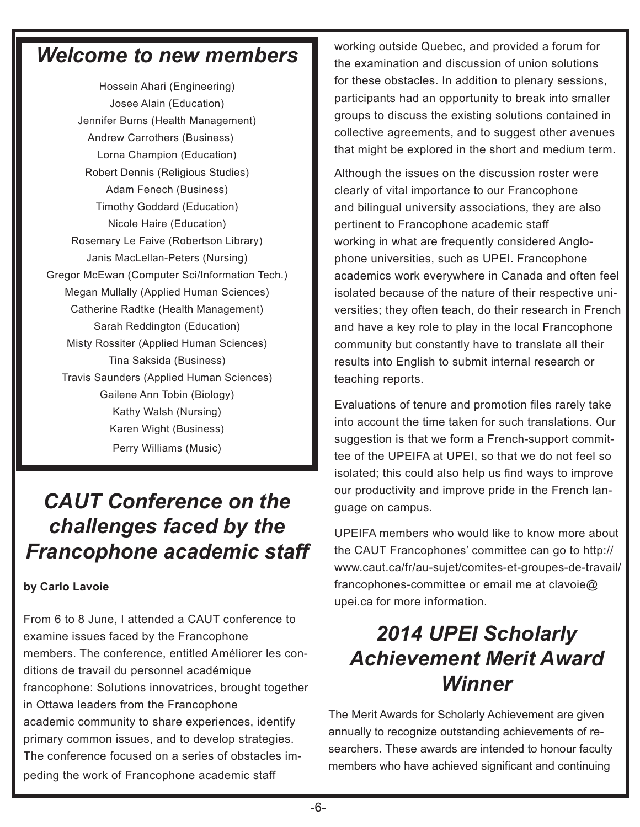### *Welcome to new members*

Hossein Ahari (Engineering) Josee Alain (Education) Jennifer Burns (Health Management) Andrew Carrothers (Business) Lorna Champion (Education) Robert Dennis (Religious Studies) Adam Fenech (Business) Timothy Goddard (Education) Nicole Haire (Education) Rosemary Le Faive (Robertson Library) Janis MacLellan-Peters (Nursing) Gregor McEwan (Computer Sci/Information Tech.) Megan Mullally (Applied Human Sciences) Catherine Radtke (Health Management) Sarah Reddington (Education) Misty Rossiter (Applied Human Sciences) Tina Saksida (Business) Travis Saunders (Applied Human Sciences) Gailene Ann Tobin (Biology) Kathy Walsh (Nursing) Karen Wight (Business) Perry Williams (Music)

## *CAUT Conference on the challenges faced by the Francophone academic staff*

### **by Carlo Lavoie**

From 6 to 8 June, I attended a CAUT conference to examine issues faced by the Francophone members. The conference, entitled Améliorer les conditions de travail du personnel académique francophone: Solutions innovatrices, brought together in Ottawa leaders from the Francophone academic community to share experiences, identify primary common issues, and to develop strategies. The conference focused on a series of obstacles impeding the work of Francophone academic staff

working outside Quebec, and provided a forum for the examination and discussion of union solutions for these obstacles. In addition to plenary sessions, participants had an opportunity to break into smaller groups to discuss the existing solutions contained in collective agreements, and to suggest other avenues that might be explored in the short and medium term.

Although the issues on the discussion roster were clearly of vital importance to our Francophone and bilingual university associations, they are also pertinent to Francophone academic staff working in what are frequently considered Anglophone universities, such as UPEI. Francophone academics work everywhere in Canada and often feel isolated because of the nature of their respective universities; they often teach, do their research in French and have a key role to play in the local Francophone community but constantly have to translate all their results into English to submit internal research or teaching reports.

Evaluations of tenure and promotion files rarely take into account the time taken for such translations. Our suggestion is that we form a French-support committee of the UPEIFA at UPEI, so that we do not feel so isolated; this could also help us find ways to improve our productivity and improve pride in the French language on campus.

UPEIFA members who would like to know more about the CAUT Francophones' committee can go to http:// www.caut.ca/fr/au-sujet/comites-et-groupes-de-travail/ francophones-committee or email me at clavoie@ upei.ca for more information.

# *2014 UPEI Scholarly Achievement Merit Award Winner*

The Merit Awards for Scholarly Achievement are given annually to recognize outstanding achievements of researchers. These awards are intended to honour faculty members who have achieved significant and continuing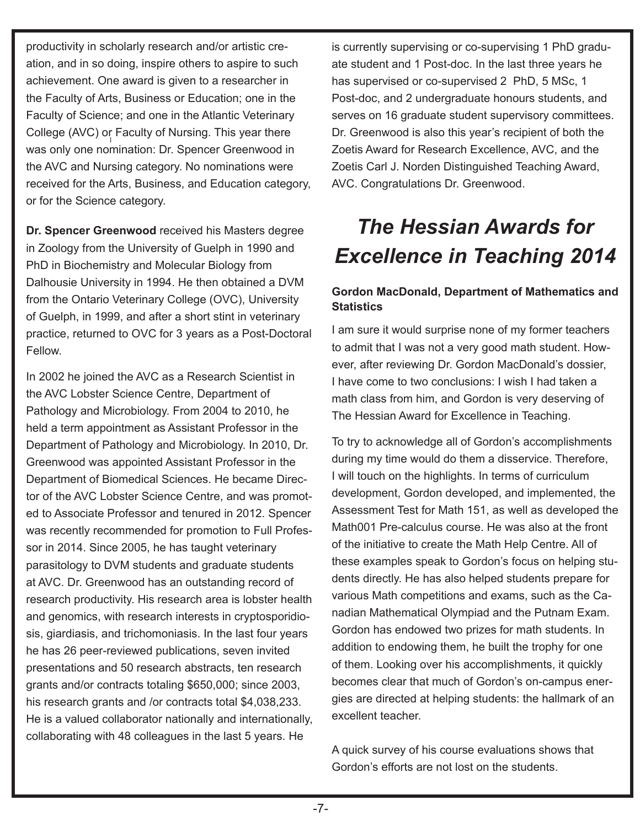was only one nomination: Dr. Spencer Greenwood in productivity in scholarly research and/or artistic creation, and in so doing, inspire others to aspire to such achievement. One award is given to a researcher in the Faculty of Arts, Business or Education; one in the Faculty of Science; and one in the Atlantic Veterinary College (AVC) or Faculty of Nursing. This year there the AVC and Nursing category. No nominations were received for the Arts, Business, and Education category, or for the Science category.

**Dr. Spencer Greenwood** received his Masters degree in Zoology from the University of Guelph in 1990 and PhD in Biochemistry and Molecular Biology from Dalhousie University in 1994. He then obtained a DVM from the Ontario Veterinary College (OVC), University of Guelph, in 1999, and after a short stint in veterinary practice, returned to OVC for 3 years as a Post-Doctoral Fellow.

In 2002 he joined the AVC as a Research Scientist in the AVC Lobster Science Centre, Department of Pathology and Microbiology. From 2004 to 2010, he held a term appointment as Assistant Professor in the Department of Pathology and Microbiology. In 2010, Dr. Greenwood was appointed Assistant Professor in the Department of Biomedical Sciences. He became Director of the AVC Lobster Science Centre, and was promoted to Associate Professor and tenured in 2012. Spencer was recently recommended for promotion to Full Professor in 2014. Since 2005, he has taught veterinary parasitology to DVM students and graduate students at AVC. Dr. Greenwood has an outstanding record of research productivity. His research area is lobster health and genomics, with research interests in cryptosporidiosis, giardiasis, and trichomoniasis. In the last four years he has 26 peer-reviewed publications, seven invited presentations and 50 research abstracts, ten research grants and/or contracts totaling \$650,000; since 2003, his research grants and /or contracts total \$4,038,233. He is a valued collaborator nationally and internationally, collaborating with 48 colleagues in the last 5 years. He

is currently supervising or co-supervising 1 PhD graduate student and 1 Post-doc. In the last three years he has supervised or co-supervised 2 PhD, 5 MSc, 1 Post-doc, and 2 undergraduate honours students, and serves on 16 graduate student supervisory committees. Dr. Greenwood is also this year's recipient of both the Zoetis Award for Research Excellence, AVC, and the Zoetis Carl J. Norden Distinguished Teaching Award, AVC. Congratulations Dr. Greenwood.

# *The Hessian Awards for Excellence in Teaching 2014*

### **Gordon MacDonald, Department of Mathematics and Statistics**

I am sure it would surprise none of my former teachers to admit that I was not a very good math student. However, after reviewing Dr. Gordon MacDonald's dossier, I have come to two conclusions: I wish I had taken a math class from him, and Gordon is very deserving of The Hessian Award for Excellence in Teaching.

To try to acknowledge all of Gordon's accomplishments during my time would do them a disservice. Therefore, I will touch on the highlights. In terms of curriculum development, Gordon developed, and implemented, the Assessment Test for Math 151, as well as developed the Math001 Pre-calculus course. He was also at the front of the initiative to create the Math Help Centre. All of these examples speak to Gordon's focus on helping students directly. He has also helped students prepare for various Math competitions and exams, such as the Canadian Mathematical Olympiad and the Putnam Exam. Gordon has endowed two prizes for math students. In addition to endowing them, he built the trophy for one of them. Looking over his accomplishments, it quickly becomes clear that much of Gordon's on-campus energies are directed at helping students: the hallmark of an excellent teacher.

A quick survey of his course evaluations shows that Gordon's efforts are not lost on the students.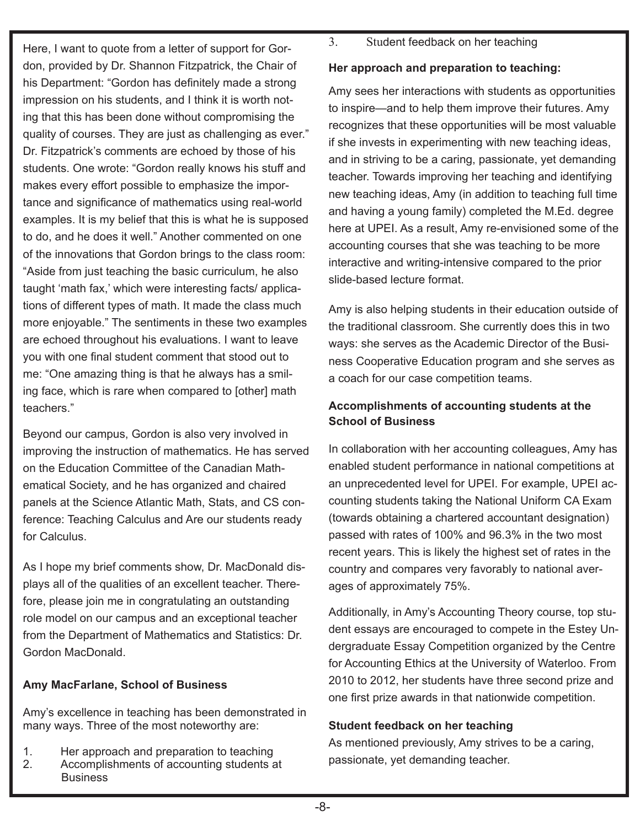Here, I want to quote from a letter of support for Gordon, provided by Dr. Shannon Fitzpatrick, the Chair of his Department: "Gordon has definitely made a strong impression on his students, and I think it is worth noting that this has been done without compromising the quality of courses. They are just as challenging as ever." Dr. Fitzpatrick's comments are echoed by those of his students. One wrote: "Gordon really knows his stuff and makes every effort possible to emphasize the importance and significance of mathematics using real-world examples. It is my belief that this is what he is supposed to do, and he does it well." Another commented on one of the innovations that Gordon brings to the class room: "Aside from just teaching the basic curriculum, he also taught 'math fax,' which were interesting facts/ applications of different types of math. It made the class much more enjoyable." The sentiments in these two examples are echoed throughout his evaluations. I want to leave you with one final student comment that stood out to me: "One amazing thing is that he always has a smiling face, which is rare when compared to [other] math teachers."

Beyond our campus, Gordon is also very involved in improving the instruction of mathematics. He has served on the Education Committee of the Canadian Mathematical Society, and he has organized and chaired panels at the Science Atlantic Math, Stats, and CS conference: Teaching Calculus and Are our students ready for Calculus.

As I hope my brief comments show, Dr. MacDonald displays all of the qualities of an excellent teacher. Therefore, please join me in congratulating an outstanding role model on our campus and an exceptional teacher from the Department of Mathematics and Statistics: Dr. Gordon MacDonald.

### **Amy MacFarlane, School of Business**

Amy's excellence in teaching has been demonstrated in many ways. Three of the most noteworthy are:

- 1. Her approach and preparation to teaching<br>2. Accomplishments of accounting students a
- Accomplishments of accounting students at Business

3. Student feedback on her teaching

### **Her approach and preparation to teaching:**

Amy sees her interactions with students as opportunities to inspire—and to help them improve their futures. Amy recognizes that these opportunities will be most valuable if she invests in experimenting with new teaching ideas, and in striving to be a caring, passionate, yet demanding teacher. Towards improving her teaching and identifying new teaching ideas, Amy (in addition to teaching full time and having a young family) completed the M.Ed. degree here at UPEI. As a result, Amy re-envisioned some of the accounting courses that she was teaching to be more interactive and writing-intensive compared to the prior slide-based lecture format.

Amy is also helping students in their education outside of the traditional classroom. She currently does this in two ways: she serves as the Academic Director of the Business Cooperative Education program and she serves as a coach for our case competition teams.

### **Accomplishments of accounting students at the School of Business**

In collaboration with her accounting colleagues, Amy has enabled student performance in national competitions at an unprecedented level for UPEI. For example, UPEI accounting students taking the National Uniform CA Exam (towards obtaining a chartered accountant designation) passed with rates of 100% and 96.3% in the two most recent years. This is likely the highest set of rates in the country and compares very favorably to national averages of approximately 75%.

Additionally, in Amy's Accounting Theory course, top student essays are encouraged to compete in the Estey Undergraduate Essay Competition organized by the Centre for Accounting Ethics at the University of Waterloo. From 2010 to 2012, her students have three second prize and one first prize awards in that nationwide competition.

### **Student feedback on her teaching**

As mentioned previously, Amy strives to be a caring, passionate, yet demanding teacher.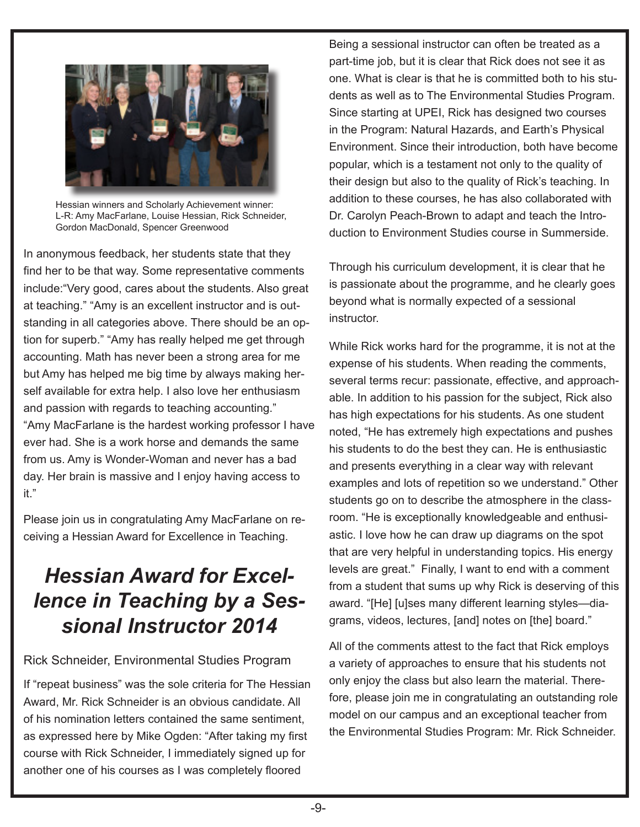

Γ

Hessian winners and Scholarly Achievement winner: L-R: Amy MacFarlane, Louise Hessian, Rick Schneider, Gordon MacDonald, Spencer Greenwood

In anonymous feedback, her students state that they find her to be that way. Some representative comments include:"Very good, cares about the students. Also great at teaching." "Amy is an excellent instructor and is outstanding in all categories above. There should be an option for superb." "Amy has really helped me get through accounting. Math has never been a strong area for me but Amy has helped me big time by always making herself available for extra help. I also love her enthusiasm and passion with regards to teaching accounting." "Amy MacFarlane is the hardest working professor I have ever had. She is a work horse and demands the same from us. Amy is Wonder-Woman and never has a bad day. Her brain is massive and I enjoy having access to it."

Please join us in congratulating Amy MacFarlane on receiving a Hessian Award for Excellence in Teaching.

## *Hessian Award for Excellence in Teaching by a Sessional Instructor 2014*

#### Rick Schneider, Environmental Studies Program

If "repeat business" was the sole criteria for The Hessian Award, Mr. Rick Schneider is an obvious candidate. All of his nomination letters contained the same sentiment, as expressed here by Mike Ogden: "After taking my first course with Rick Schneider, I immediately signed up for another one of his courses as I was completely floored

Being a sessional instructor can often be treated as a part-time job, but it is clear that Rick does not see it as one. What is clear is that he is committed both to his students as well as to The Environmental Studies Program. Since starting at UPEI, Rick has designed two courses in the Program: Natural Hazards, and Earth's Physical Environment. Since their introduction, both have become popular, which is a testament not only to the quality of their design but also to the quality of Rick's teaching. In addition to these courses, he has also collaborated with Dr. Carolyn Peach-Brown to adapt and teach the Introduction to Environment Studies course in Summerside.

Through his curriculum development, it is clear that he is passionate about the programme, and he clearly goes beyond what is normally expected of a sessional instructor.

While Rick works hard for the programme, it is not at the expense of his students. When reading the comments, several terms recur: passionate, effective, and approachable. In addition to his passion for the subject, Rick also has high expectations for his students. As one student noted, "He has extremely high expectations and pushes his students to do the best they can. He is enthusiastic and presents everything in a clear way with relevant examples and lots of repetition so we understand." Other students go on to describe the atmosphere in the classroom. "He is exceptionally knowledgeable and enthusiastic. I love how he can draw up diagrams on the spot that are very helpful in understanding topics. His energy levels are great." Finally, I want to end with a comment from a student that sums up why Rick is deserving of this award. "[He] [u]ses many different learning styles—diagrams, videos, lectures, [and] notes on [the] board."

All of the comments attest to the fact that Rick employs a variety of approaches to ensure that his students not only enjoy the class but also learn the material. Therefore, please join me in congratulating an outstanding role model on our campus and an exceptional teacher from the Environmental Studies Program: Mr. Rick Schneider.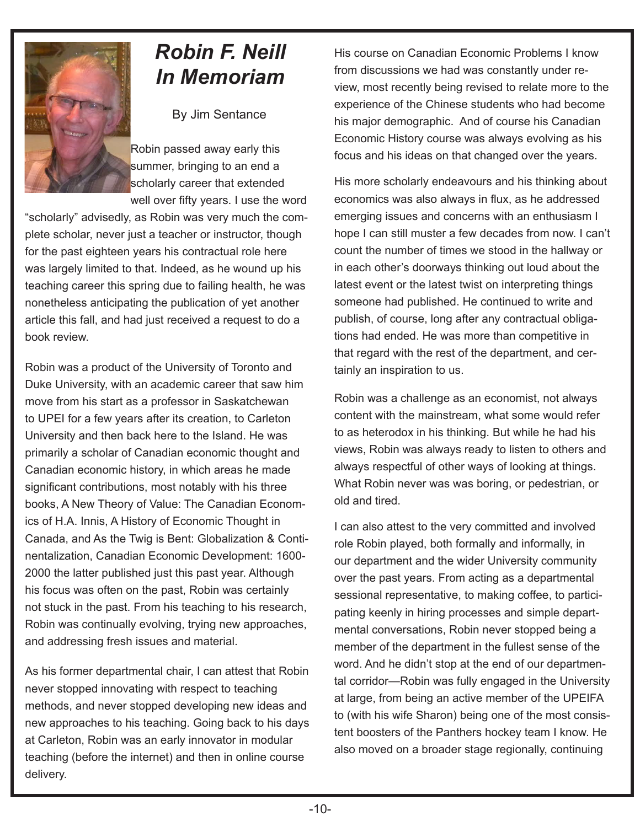

## *Robin F. Neill In Memoriam*

By Jim Sentance

Robin passed away early this summer, bringing to an end a scholarly career that extended well over fifty years. I use the word

"scholarly" advisedly, as Robin was very much the complete scholar, never just a teacher or instructor, though for the past eighteen years his contractual role here was largely limited to that. Indeed, as he wound up his teaching career this spring due to failing health, he was nonetheless anticipating the publication of yet another article this fall, and had just received a request to do a book review.

Robin was a product of the University of Toronto and Duke University, with an academic career that saw him move from his start as a professor in Saskatchewan to UPEI for a few years after its creation, to Carleton University and then back here to the Island. He was primarily a scholar of Canadian economic thought and Canadian economic history, in which areas he made significant contributions, most notably with his three books, A New Theory of Value: The Canadian Economics of H.A. Innis, A History of Economic Thought in Canada, and As the Twig is Bent: Globalization & Continentalization, Canadian Economic Development: 1600- 2000 the latter published just this past year. Although his focus was often on the past, Robin was certainly not stuck in the past. From his teaching to his research, Robin was continually evolving, trying new approaches, and addressing fresh issues and material.

As his former departmental chair, I can attest that Robin never stopped innovating with respect to teaching methods, and never stopped developing new ideas and new approaches to his teaching. Going back to his days at Carleton, Robin was an early innovator in modular teaching (before the internet) and then in online course delivery.

His course on Canadian Economic Problems I know from discussions we had was constantly under review, most recently being revised to relate more to the experience of the Chinese students who had become his major demographic. And of course his Canadian Economic History course was always evolving as his focus and his ideas on that changed over the years.

His more scholarly endeavours and his thinking about economics was also always in flux, as he addressed emerging issues and concerns with an enthusiasm I hope I can still muster a few decades from now. I can't count the number of times we stood in the hallway or in each other's doorways thinking out loud about the latest event or the latest twist on interpreting things someone had published. He continued to write and publish, of course, long after any contractual obligations had ended. He was more than competitive in that regard with the rest of the department, and certainly an inspiration to us.

Robin was a challenge as an economist, not always content with the mainstream, what some would refer to as heterodox in his thinking. But while he had his views, Robin was always ready to listen to others and always respectful of other ways of looking at things. What Robin never was was boring, or pedestrian, or old and tired.

I can also attest to the very committed and involved role Robin played, both formally and informally, in our department and the wider University community over the past years. From acting as a departmental sessional representative, to making coffee, to participating keenly in hiring processes and simple departmental conversations, Robin never stopped being a member of the department in the fullest sense of the word. And he didn't stop at the end of our departmental corridor—Robin was fully engaged in the University at large, from being an active member of the UPEIFA to (with his wife Sharon) being one of the most consistent boosters of the Panthers hockey team I know. He also moved on a broader stage regionally, continuing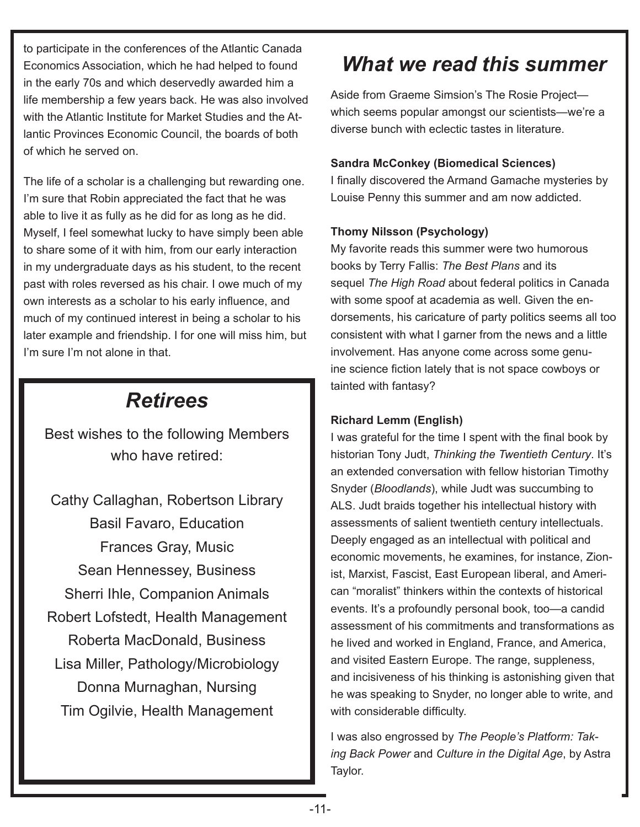to participate in the conferences of the Atlantic Canada Economics Association, which he had helped to found in the early 70s and which deservedly awarded him a life membership a few years back. He was also involved with the Atlantic Institute for Market Studies and the Atlantic Provinces Economic Council, the boards of both of which he served on.

The life of a scholar is a challenging but rewarding one. I'm sure that Robin appreciated the fact that he was able to live it as fully as he did for as long as he did. Myself, I feel somewhat lucky to have simply been able to share some of it with him, from our early interaction in my undergraduate days as his student, to the recent past with roles reversed as his chair. I owe much of my own interests as a scholar to his early influence, and much of my continued interest in being a scholar to his later example and friendship. I for one will miss him, but I'm sure I'm not alone in that.

### *Retirees*

Best wishes to the following Members who have retired:

Cathy Callaghan, Robertson Library Basil Favaro, Education Frances Gray, Music Sean Hennessey, Business Sherri Ihle, Companion Animals Robert Lofstedt, Health Management Roberta MacDonald, Business Lisa Miller, Pathology/Microbiology Donna Murnaghan, Nursing Tim Ogilvie, Health Management

### *What we read this summer*

Aside from Graeme Simsion's The Rosie Project which seems popular amongst our scientists—we're a diverse bunch with eclectic tastes in literature.

#### **Sandra McConkey (Biomedical Sciences)**

I finally discovered the Armand Gamache mysteries by Louise Penny this summer and am now addicted.

#### **Thomy Nilsson (Psychology)**

My favorite reads this summer were two humorous books by Terry Fallis: *The Best Plans* and its sequel *The High Road* about federal politics in Canada with some spoof at academia as well. Given the endorsements, his caricature of party politics seems all too consistent with what I garner from the news and a little involvement. Has anyone come across some genuine science fiction lately that is not space cowboys or tainted with fantasy?

#### **Richard Lemm (English)**

I was grateful for the time I spent with the final book by historian Tony Judt, *Thinking the Twentieth Century*. It's an extended conversation with fellow historian Timothy Snyder (*Bloodlands*), while Judt was succumbing to ALS. Judt braids together his intellectual history with assessments of salient twentieth century intellectuals. Deeply engaged as an intellectual with political and economic movements, he examines, for instance, Zionist, Marxist, Fascist, East European liberal, and American "moralist" thinkers within the contexts of historical events. It's a profoundly personal book, too—a candid assessment of his commitments and transformations as he lived and worked in England, France, and America, and visited Eastern Europe. The range, suppleness, and incisiveness of his thinking is astonishing given that he was speaking to Snyder, no longer able to write, and with considerable difficulty.

I was also engrossed by *The People's Platform: Taking Back Power* and *Culture in the Digital Age*, by Astra Taylor.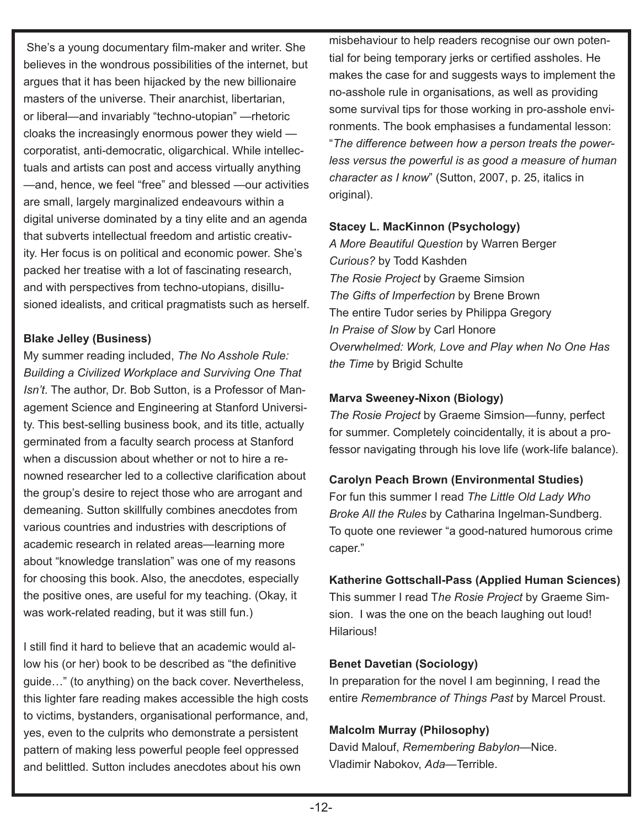She's a young documentary film-maker and writer. She believes in the wondrous possibilities of the internet, but argues that it has been hijacked by the new billionaire masters of the universe. Their anarchist, libertarian, or liberal—and invariably "techno-utopian" —rhetoric cloaks the increasingly enormous power they wield corporatist, anti-democratic, oligarchical. While intellectuals and artists can post and access virtually anything —and, hence, we feel "free" and blessed —our activities are small, largely marginalized endeavours within a digital universe dominated by a tiny elite and an agenda that subverts intellectual freedom and artistic creativity. Her focus is on political and economic power. She's packed her treatise with a lot of fascinating research, and with perspectives from techno-utopians, disillusioned idealists, and critical pragmatists such as herself.

### **Blake Jelley (Business)**

My summer reading included, *The No Asshole Rule: Building a Civilized Workplace and Surviving One That Isn't*. The author, Dr. Bob Sutton, is a Professor of Management Science and Engineering at Stanford University. This best-selling business book, and its title, actually germinated from a faculty search process at Stanford when a discussion about whether or not to hire a renowned researcher led to a collective clarification about the group's desire to reject those who are arrogant and demeaning. Sutton skillfully combines anecdotes from various countries and industries with descriptions of academic research in related areas—learning more about "knowledge translation" was one of my reasons for choosing this book. Also, the anecdotes, especially the positive ones, are useful for my teaching. (Okay, it was work-related reading, but it was still fun.)

I still find it hard to believe that an academic would allow his (or her) book to be described as "the definitive guide…" (to anything) on the back cover. Nevertheless, this lighter fare reading makes accessible the high costs to victims, bystanders, organisational performance, and, yes, even to the culprits who demonstrate a persistent pattern of making less powerful people feel oppressed and belittled. Sutton includes anecdotes about his own

misbehaviour to help readers recognise our own potential for being temporary jerks or certified assholes. He makes the case for and suggests ways to implement the no-asshole rule in organisations, as well as providing some survival tips for those working in pro-asshole environments. The book emphasises a fundamental lesson: "*The difference between how a person treats the powerless versus the powerful is as good a measure of human character as I know*" (Sutton, 2007, p. 25, italics in original).

### **Stacey L. MacKinnon (Psychology)**

*A More Beautiful Question* by Warren Berger *Curious?* by Todd Kashden *The Rosie Project* by Graeme Simsion *The Gifts of Imperfection* by Brene Brown The entire Tudor series by Philippa Gregory *In Praise of Slow* by Carl Honore *Overwhelmed: Work, Love and Play when No One Has the Time* by Brigid Schulte

#### **Marva Sweeney-Nixon (Biology)**

*The Rosie Project* by Graeme Simsion—funny, perfect for summer. Completely coincidentally, it is about a professor navigating through his love life (work-life balance).

### **Carolyn Peach Brown (Environmental Studies)**

For fun this summer I read *The Little Old Lady Who Broke All the Rules* by Catharina Ingelman-Sundberg. To quote one reviewer "a good-natured humorous crime caper."

### **Katherine Gottschall-Pass (Applied Human Sciences)**

This summer I read T*he Rosie Project* by Graeme Simsion. I was the one on the beach laughing out loud! Hilarious!

#### **Benet Davetian (Sociology)**

In preparation for the novel I am beginning, I read the entire *Remembrance of Things Past* by Marcel Proust.

#### **Malcolm Murray (Philosophy)**

David Malouf, *Remembering Babylon*—Nice. Vladimir Nabokov, *Ada*—Terrible.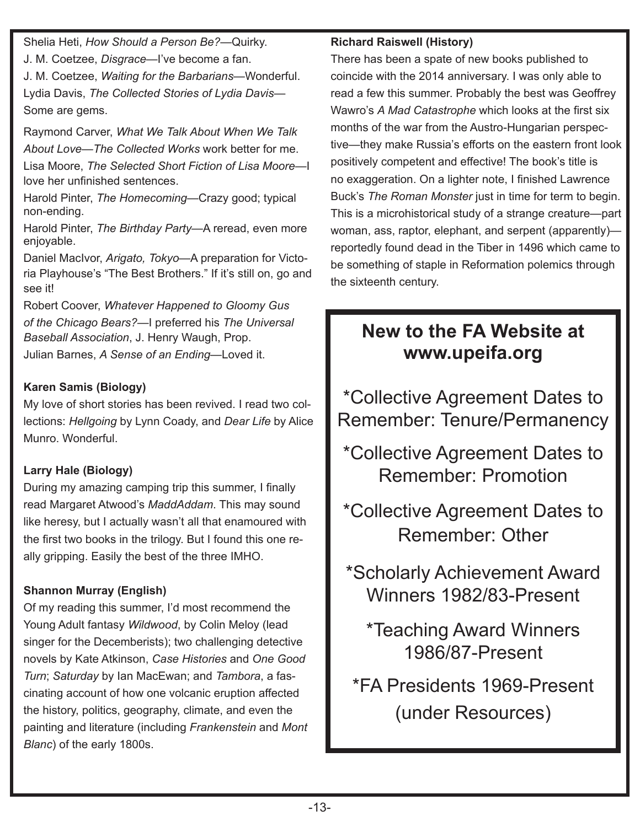Shelia Heti, *How Should a Person Be?*—Quirky.

J. M. Coetzee, *Disgrace*—I've become a fan.

J. M. Coetzee, *Waiting for the Barbarians*—Wonderful. Lydia Davis, *The Collected Stories of Lydia Davis*— Some are gems.

Raymond Carver, *What We Talk About When We Talk About Love*—*The Collected Works* work better for me.

Lisa Moore, *The Selected Short Fiction of Lisa Moore*—I love her unfinished sentences.

Harold Pinter, *The Homecoming*—Crazy good; typical non-ending.

Harold Pinter, *The Birthday Party*—A reread, even more enjoyable.

Daniel MacIvor, *Arigato, Tokyo*—A preparation for Victoria Playhouse's "The Best Brothers." If it's still on, go and see it!

Robert Coover, *Whatever Happened to Gloomy Gus of the Chicago Bears?*—I preferred his *The Universal Baseball Association*, J. Henry Waugh, Prop.

Julian Barnes, *A Sense of an Ending*—Loved it.

### **Karen Samis (Biology)**

My love of short stories has been revived. I read two collections: *Hellgoing* by Lynn Coady, and *Dear Life* by Alice Munro. Wonderful.

### **Larry Hale (Biology)**

During my amazing camping trip this summer, I finally read Margaret Atwood's *MaddAddam*. This may sound like heresy, but I actually wasn't all that enamoured with the first two books in the trilogy. But I found this one really gripping. Easily the best of the three IMHO.

### **Shannon Murray (English)**

Of my reading this summer, I'd most recommend the Young Adult fantasy *Wildwood*, by Colin Meloy (lead singer for the Decemberists); two challenging detective novels by Kate Atkinson, *Case Histories* and *One Good Turn*; *Saturday* by Ian MacEwan; and *Tambora*, a fascinating account of how one volcanic eruption affected the history, politics, geography, climate, and even the painting and literature (including *Frankenstein* and *Mont Blanc*) of the early 1800s.

### **Richard Raiswell (History)**

There has been a spate of new books published to coincide with the 2014 anniversary. I was only able to read a few this summer. Probably the best was Geoffrey Wawro's *A Mad Catastrophe* which looks at the first six months of the war from the Austro-Hungarian perspective—they make Russia's efforts on the eastern front look positively competent and effective! The book's title is no exaggeration. On a lighter note, I finished Lawrence Buck's *The Roman Monster* just in time for term to begin. This is a microhistorical study of a strange creature—part woman, ass, raptor, elephant, and serpent (apparently) reportedly found dead in the Tiber in 1496 which came to be something of staple in Reformation polemics through the sixteenth century.

### **New to the FA Website at www.upeifa.org**

\*Collective Agreement Dates to Remember: Tenure/Permanency

\*Collective Agreement Dates to Remember: Promotion

\*Collective Agreement Dates to Remember: Other

\*Scholarly Achievement Award Winners 1982/83-Present

\*Teaching Award Winners 1986/87-Present

\*FA Presidents 1969-Present (under Resources)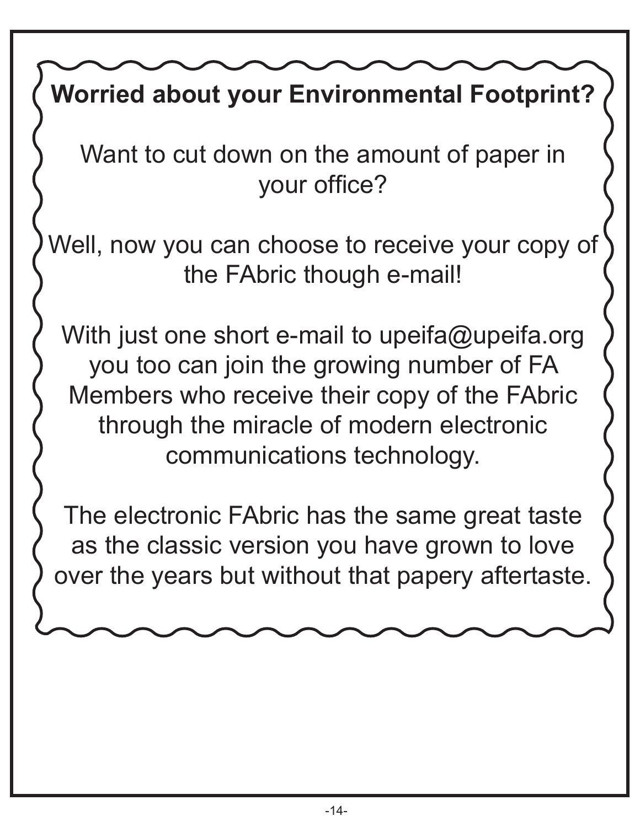# **Worried about your Environmental Footprint?**

Want to cut down on the amount of paper in your office?

Well, now you can choose to receive your copy of the FAbric though e-mail!

With just one short e-mail to upeifa@upeifa.org you too can join the growing number of FA Members who receive their copy of the FAbric through the miracle of modern electronic communications technology.

The electronic FAbric has the same great taste as the classic version you have grown to love over the years but without that papery aftertaste.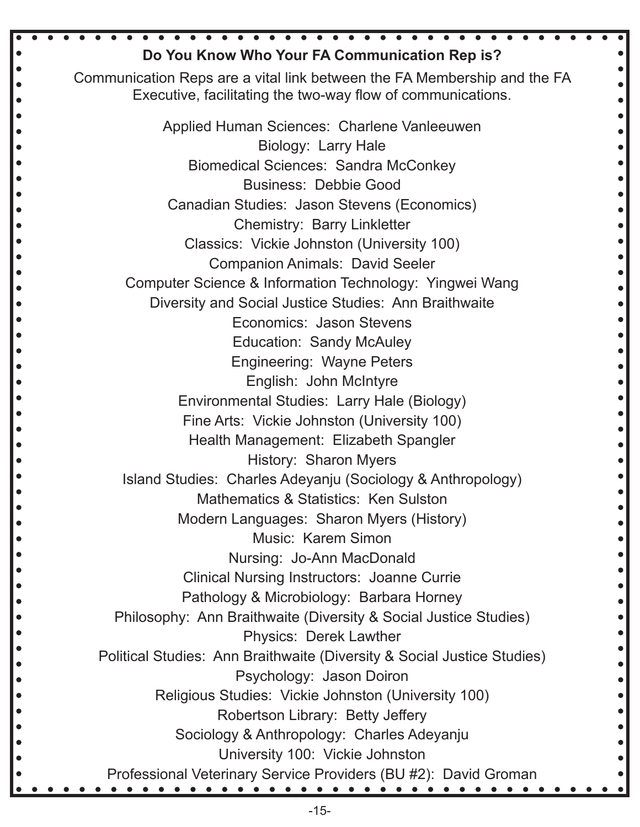| Do You Know Who Your FA Communication Rep is?                                                                                           |
|-----------------------------------------------------------------------------------------------------------------------------------------|
|                                                                                                                                         |
| Communication Reps are a vital link between the FA Membership and the FA<br>Executive, facilitating the two-way flow of communications. |
|                                                                                                                                         |
| Applied Human Sciences: Charlene Vanleeuwen                                                                                             |
| Biology: Larry Hale                                                                                                                     |
| <b>Biomedical Sciences: Sandra McConkey</b>                                                                                             |
| <b>Business: Debbie Good</b>                                                                                                            |
| Canadian Studies: Jason Stevens (Economics)                                                                                             |
| <b>Chemistry: Barry Linkletter</b>                                                                                                      |
| Classics: Vickie Johnston (University 100)                                                                                              |
| <b>Companion Animals: David Seeler</b>                                                                                                  |
| Computer Science & Information Technology: Yingwei Wang                                                                                 |
| Diversity and Social Justice Studies: Ann Braithwaite                                                                                   |
| Economics: Jason Stevens                                                                                                                |
| <b>Education: Sandy McAuley</b>                                                                                                         |
| <b>Engineering: Wayne Peters</b>                                                                                                        |
| English: John McIntyre                                                                                                                  |
| Environmental Studies: Larry Hale (Biology)                                                                                             |
| Fine Arts: Vickie Johnston (University 100)                                                                                             |
| Health Management: Elizabeth Spangler                                                                                                   |
| History: Sharon Myers                                                                                                                   |
| Island Studies: Charles Adeyanju (Sociology & Anthropology)<br>Mathematics & Statistics: Ken Sulston                                    |
|                                                                                                                                         |
| Modern Languages: Sharon Myers (History)<br><b>Music: Karem Simon</b>                                                                   |
| Nursing: Jo-Ann MacDonald                                                                                                               |
| <b>Clinical Nursing Instructors: Joanne Currie</b>                                                                                      |
| Pathology & Microbiology: Barbara Horney                                                                                                |
| Philosophy: Ann Braithwaite (Diversity & Social Justice Studies)                                                                        |
| <b>Physics: Derek Lawther</b>                                                                                                           |
| Political Studies: Ann Braithwaite (Diversity & Social Justice Studies)                                                                 |
| Psychology: Jason Doiron                                                                                                                |
| Religious Studies: Vickie Johnston (University 100)                                                                                     |
| Robertson Library: Betty Jeffery                                                                                                        |
| Sociology & Anthropology: Charles Adeyanju                                                                                              |
| University 100: Vickie Johnston                                                                                                         |
| Professional Veterinary Service Providers (BU #2): David Groman                                                                         |
|                                                                                                                                         |